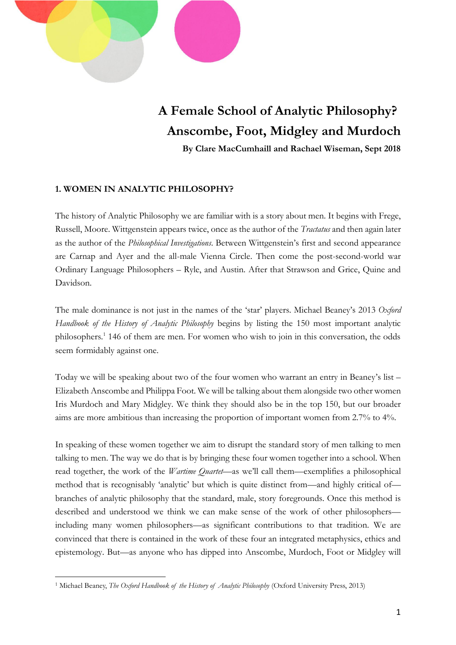

# **A Female School of Analytic Philosophy? Anscombe, Foot, Midgley and Murdoch**

**By Clare MacCumhaill and Rachael Wiseman, Sept 2018**

## **1. WOMEN IN ANALYTIC PHILOSOPHY?**

The history of Analytic Philosophy we are familiar with is a story about men. It begins with Frege, Russell, Moore. Wittgenstein appears twice, once as the author of the *Tractatus* and then again later as the author of the *Philosophical Investigations*. Between Wittgenstein's first and second appearance are Carnap and Ayer and the all-male Vienna Circle. Then come the post-second-world war Ordinary Language Philosophers – Ryle, and Austin. After that Strawson and Grice, Quine and Davidson.

The male dominance is not just in the names of the 'star' players. Michael Beaney's 2013 *Oxford Handbook of the History of Analytic Philosophy* begins by listing the 150 most important analytic philosophers.<sup>1</sup> 146 of them are men. For women who wish to join in this conversation, the odds seem formidably against one.

Today we will be speaking about two of the four women who warrant an entry in Beaney's list – Elizabeth Anscombe and Philippa Foot. We will be talking about them alongside two other women Iris Murdoch and Mary Midgley. We think they should also be in the top 150, but our broader aims are more ambitious than increasing the proportion of important women from 2.7% to 4%.

In speaking of these women together we aim to disrupt the standard story of men talking to men talking to men. The way we do that is by bringing these four women together into a school. When read together, the work of the *Wartime Quartet*—as we'll call them—exemplifies a philosophical method that is recognisably 'analytic' but which is quite distinct from—and highly critical of branches of analytic philosophy that the standard, male, story foregrounds. Once this method is described and understood we think we can make sense of the work of other philosophers including many women philosophers—as significant contributions to that tradition. We are convinced that there is contained in the work of these four an integrated metaphysics, ethics and epistemology. But—as anyone who has dipped into Anscombe, Murdoch, Foot or Midgley will

 $\overline{a}$ <sup>1</sup> Michael Beaney, *The Oxford Handbook of the History of Analytic Philosophy* (Oxford University Press, 2013)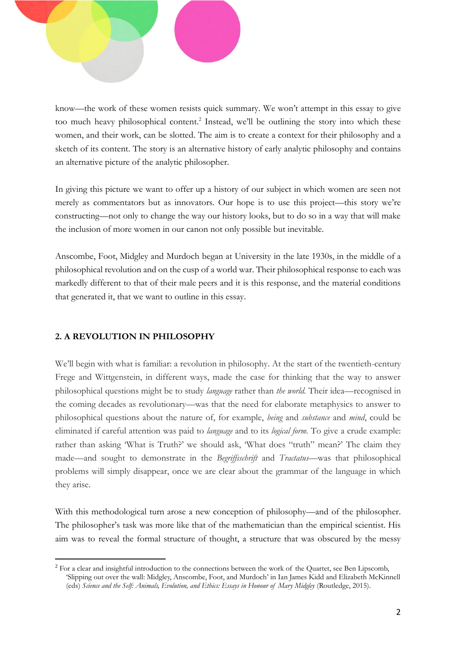

know—the work of these women resists quick summary. We won't attempt in this essay to give too much heavy philosophical content.<sup>2</sup> Instead, we'll be outlining the story into which these women, and their work, can be slotted. The aim is to create a context for their philosophy and a sketch of its content. The story is an alternative history of early analytic philosophy and contains an alternative picture of the analytic philosopher.

In giving this picture we want to offer up a history of our subject in which women are seen not merely as commentators but as innovators. Our hope is to use this project—this story we're constructing—not only to change the way our history looks, but to do so in a way that will make the inclusion of more women in our canon not only possible but inevitable.

Anscombe, Foot, Midgley and Murdoch began at University in the late 1930s, in the middle of a philosophical revolution and on the cusp of a world war. Their philosophical response to each was markedly different to that of their male peers and it is this response, and the material conditions that generated it, that we want to outline in this essay.

## **2. A REVOLUTION IN PHILOSOPHY**

 $\overline{a}$ 

We'll begin with what is familiar: a revolution in philosophy. At the start of the twentieth-century Frege and Wittgenstein, in different ways, made the case for thinking that the way to answer philosophical questions might be to study *language* rather than *the world.* Their idea—recognised in the coming decades as revolutionary—was that the need for elaborate metaphysics to answer to philosophical questions about the nature of, for example, *being* and *substance* and *mind*, could be eliminated if careful attention was paid to *language* and to its *logical form.* To give a crude example: rather than asking 'What is Truth?' we should ask, 'What does "truth" mean?' The claim they made—and sought to demonstrate in the *Begriffsschrift* and *Tractatus*—was that philosophical problems will simply disappear, once we are clear about the grammar of the language in which they arise.

With this methodological turn arose a new conception of philosophy—and of the philosopher. The philosopher's task was more like that of the mathematician than the empirical scientist. His aim was to reveal the formal structure of thought, a structure that was obscured by the messy

<sup>&</sup>lt;sup>2</sup> For a clear and insightful introduction to the connections between the work of the Quartet, see Ben Lipscomb, 'Slipping out over the wall: Midgley, Anscombe, Foot, and Murdoch' in Ian James Kidd and Elizabeth McKinnell (eds) *Science and the Self: Animals, Evolution, and Ethics: Essays in Honour of Mary Midgley* (Routledge, 2015).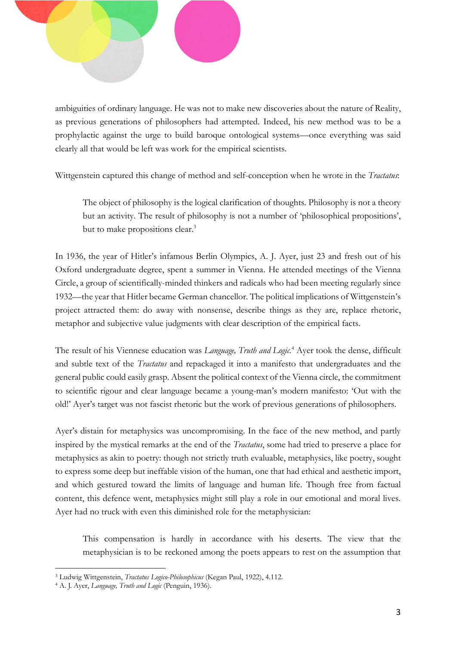

ambiguities of ordinary language. He was not to make new discoveries about the nature of Reality, as previous generations of philosophers had attempted. Indeed, his new method was to be a prophylactic against the urge to build baroque ontological systems—once everything was said clearly all that would be left was work for the empirical scientists.

Wittgenstein captured this change of method and self-conception when he wrote in the *Tractatus*:

The object of philosophy is the logical clarification of thoughts. Philosophy is not a theory but an activity. The result of philosophy is not a number of 'philosophical propositions', but to make propositions clear.<sup>3</sup>

In 1936, the year of Hitler's infamous Berlin Olympics, A. J. Ayer, just 23 and fresh out of his Oxford undergraduate degree, spent a summer in Vienna. He attended meetings of the Vienna Circle, a group of scientifically-minded thinkers and radicals who had been meeting regularly since 1932—the year that Hitler became German chancellor. The political implications of Wittgenstein's project attracted them: do away with nonsense, describe things as they are, replace rhetoric, metaphor and subjective value judgments with clear description of the empirical facts.

The result of his Viennese education was *Language, Truth and Logic.*<sup>4</sup> Ayer took the dense, difficult and subtle text of the *Tractatus* and repackaged it into a manifesto that undergraduates and the general public could easily grasp. Absent the political context of the Vienna circle, the commitment to scientific rigour and clear language became a young-man's modern manifesto: 'Out with the old!' Ayer's target was not fascist rhetoric but the work of previous generations of philosophers.

Ayer's distain for metaphysics was uncompromising. In the face of the new method, and partly inspired by the mystical remarks at the end of the *Tractatus*, some had tried to preserve a place for metaphysics as akin to poetry: though not strictly truth evaluable, metaphysics, like poetry, sought to express some deep but ineffable vision of the human, one that had ethical and aesthetic import, and which gestured toward the limits of language and human life. Though free from factual content, this defence went, metaphysics might still play a role in our emotional and moral lives. Ayer had no truck with even this diminished role for the metaphysician:

This compensation is hardly in accordance with his deserts. The view that the metaphysician is to be reckoned among the poets appears to rest on the assumption that

<sup>3</sup> Ludwig Wittgenstein, *Tractatus Logico-Philosophicus* (Kegan Paul, 1922), 4.112.

<sup>4</sup> A. J. Ayer, *Language, Truth and Logic* (Penguin, 1936).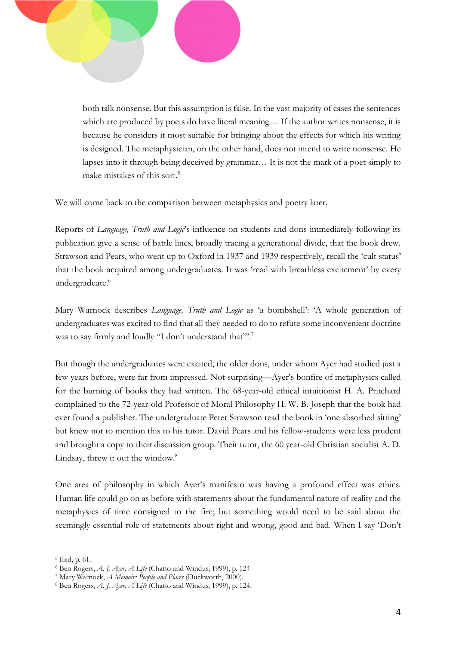

both talk nonsense. But this assumption is false. In the vast majority of cases the sentences which are produced by poets do have literal meaning... If the author writes nonsense, it is because he considers it most suitable for bringing about the effects for which his writing is designed. The metaphysician, on the other hand, does not intend to write nonsense. He lapses into it through being deceived by grammar… It is not the mark of a poet simply to make mistakes of this sort.<sup>5</sup>

We will come back to the comparison between metaphysics and poetry later.

Reports of *Language, Truth and Logic*'s influence on students and dons immediately following its publication give a sense of battle lines, broadly tracing a generational divide, that the book drew. Strawson and Pears, who went up to Oxford in 1937 and 1939 respectively, recall the 'cult status' that the book acquired among undergraduates. It was 'read with breathless excitement' by every undergraduate.<sup>6</sup>

Mary Warnock describes *Language, Truth and Logic* as 'a bombshell': 'A whole generation of undergraduates was excited to find that all they needed to do to refute some inconvenient doctrine was to say firmly and loudly "I don't understand that"".<sup>7</sup>

But though the undergraduates were excited, the older dons, under whom Ayer had studied just a few years before, were far from impressed. Not surprising—Ayer's bonfire of metaphysics called for the burning of books they had written. The 68-year-old ethical intuitionist H. A. Pritchard complained to the 72-year-old Professor of Moral Philosophy H. W. B. Joseph that the book had ever found a publisher. The undergraduate Peter Strawson read the book in 'one absorbed sitting' but knew not to mention this to his tutor. David Pears and his fellow-students were less prudent and brought a copy to their discussion group. Their tutor, the 60 year-old Christian socialist A. D. Lindsay, threw it out the window.<sup>8</sup>

One area of philosophy in which Ayer's manifesto was having a profound effect was ethics. Human life could go on as before with statements about the fundamental nature of reality and the metaphysics of time consigned to the fire; but something would need to be said about the seemingly essential role of statements about right and wrong, good and bad. When I say 'Don't

<sup>5</sup> Ibid, p. 61.

<sup>6</sup> Ben Rogers, *A. J. Ayer, A Life* (Chatto and Windus, 1999), p. 124

<sup>7</sup> Mary Warnock, *A Memoir: People and Places* (Duckworth, 2000).

<sup>8</sup> Ben Rogers, *A. J. Ayer, A Life* (Chatto and Windus, 1999), p. 124.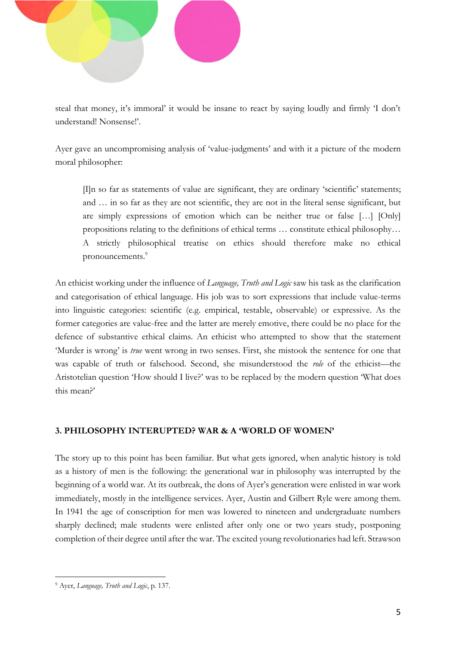

steal that money, it's immoral' it would be insane to react by saying loudly and firmly 'I don't understand! Nonsense!'.

Ayer gave an uncompromising analysis of 'value-judgments' and with it a picture of the modern moral philosopher:

[I]n so far as statements of value are significant, they are ordinary 'scientific' statements; and … in so far as they are not scientific, they are not in the literal sense significant, but are simply expressions of emotion which can be neither true or false […] [Only] propositions relating to the definitions of ethical terms … constitute ethical philosophy… A strictly philosophical treatise on ethics should therefore make no ethical pronouncements.<sup>9</sup>

An ethicist working under the influence of *Language, Truth and Logic* saw his task as the clarification and categorisation of ethical language. His job was to sort expressions that include value-terms into linguistic categories: scientific (e.g. empirical, testable, observable) or expressive. As the former categories are value-free and the latter are merely emotive, there could be no place for the defence of substantive ethical claims. An ethicist who attempted to show that the statement 'Murder is wrong' is *true* went wrong in two senses. First, she mistook the sentence for one that was capable of truth or falsehood. Second, she misunderstood the *role* of the ethicist—the Aristotelian question 'How should I live?' was to be replaced by the modern question 'What does this mean?'

#### **3. PHILOSOPHY INTERUPTED? WAR & A 'WORLD OF WOMEN'**

The story up to this point has been familiar. But what gets ignored, when analytic history is told as a history of men is the following: the generational war in philosophy was interrupted by the beginning of a world war. At its outbreak, the dons of Ayer's generation were enlisted in war work immediately, mostly in the intelligence services. Ayer, Austin and Gilbert Ryle were among them. In 1941 the age of conscription for men was lowered to nineteen and undergraduate numbers sharply declined; male students were enlisted after only one or two years study, postponing completion of their degree until after the war. The excited young revolutionaries had left. Strawson

 $\overline{a}$ <sup>9</sup> Ayer, *Language, Truth and Logic*, p. 137.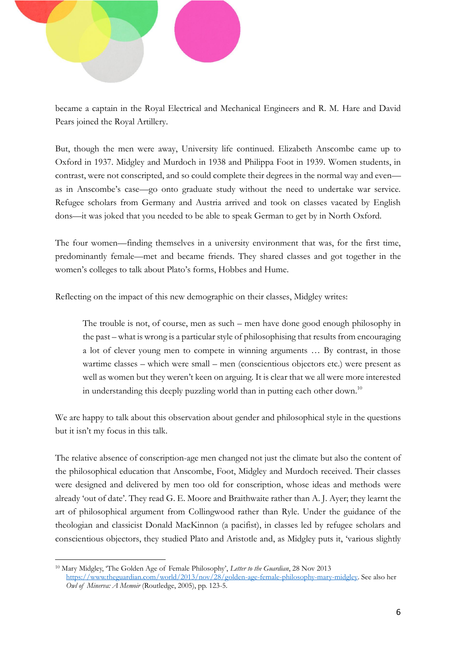

became a captain in the Royal Electrical and Mechanical Engineers and R. M. Hare and David Pears joined the Royal Artillery.

But, though the men were away, University life continued. Elizabeth Anscombe came up to Oxford in 1937. Midgley and Murdoch in 1938 and Philippa Foot in 1939. Women students, in contrast, were not conscripted, and so could complete their degrees in the normal way and even as in Anscombe's case—go onto graduate study without the need to undertake war service. Refugee scholars from Germany and Austria arrived and took on classes vacated by English dons—it was joked that you needed to be able to speak German to get by in North Oxford.

The four women—finding themselves in a university environment that was, for the first time, predominantly female—met and became friends. They shared classes and got together in the women's colleges to talk about Plato's forms, Hobbes and Hume.

Reflecting on the impact of this new demographic on their classes, Midgley writes:

The trouble is not, of course, men as such – men have done good enough philosophy in the past – what is wrong is a particular style of philosophising that results from encouraging a lot of clever young men to compete in winning arguments … By contrast, in those wartime classes – which were small – men (conscientious objectors etc.) were present as well as women but they weren't keen on arguing. It is clear that we all were more interested in understanding this deeply puzzling world than in putting each other down.<sup>10</sup>

We are happy to talk about this observation about gender and philosophical style in the questions but it isn't my focus in this talk.

The relative absence of conscription-age men changed not just the climate but also the content of the philosophical education that Anscombe, Foot, Midgley and Murdoch received. Their classes were designed and delivered by men too old for conscription, whose ideas and methods were already 'out of date'. They read G. E. Moore and Braithwaite rather than A. J. Ayer; they learnt the art of philosophical argument from Collingwood rather than Ryle. Under the guidance of the theologian and classicist Donald MacKinnon (a pacifist), in classes led by refugee scholars and conscientious objectors, they studied Plato and Aristotle and, as Midgley puts it, 'various slightly

<sup>10</sup> Mary Midgley, 'The Golden Age of Female Philosophy', *Letter to the Guardian*, 28 Nov 2013 [https://www.theguardian.com/world/2013/nov/28/golden-age-female-philosophy-mary-midgley.](https://www.theguardian.com/world/2013/nov/28/golden-age-female-philosophy-mary-midgley) See also her *Owl of Minerva: A Memoir* (Routledge, 2005), pp. 123-5.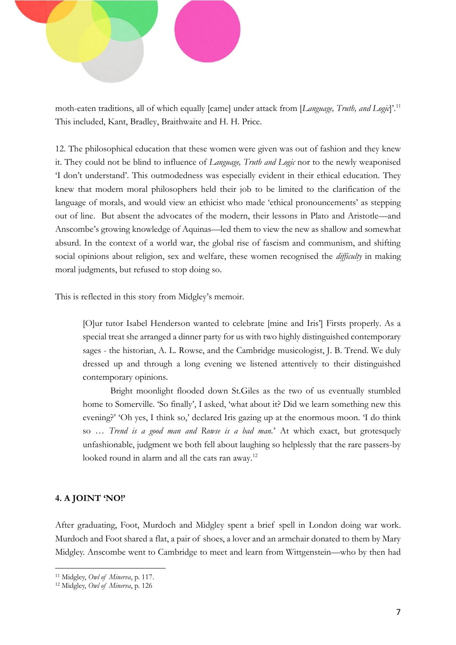

moth-eaten traditions, all of which equally [came] under attack from [*Language, Truth, and Logic*]'. 11 This included, Kant, Bradley, Braithwaite and H. H. Price.

12. The philosophical education that these women were given was out of fashion and they knew it. They could not be blind to influence of *Language, Truth and Logic* nor to the newly weaponised 'I don't understand'. This outmodedness was especially evident in their ethical education. They knew that modern moral philosophers held their job to be limited to the clarification of the language of morals, and would view an ethicist who made 'ethical pronouncements' as stepping out of line. But absent the advocates of the modern, their lessons in Plato and Aristotle—and Anscombe's growing knowledge of Aquinas—led them to view the new as shallow and somewhat absurd. In the context of a world war, the global rise of fascism and communism, and shifting social opinions about religion, sex and welfare, these women recognised the *difficulty* in making moral judgments, but refused to stop doing so.

This is reflected in this story from Midgley's memoir.

[O]ur tutor Isabel Henderson wanted to celebrate [mine and Iris'] Firsts properly. As a special treat she arranged a dinner party for us with two highly distinguished contemporary sages - the historian, A. L. Rowse, and the Cambridge musicologist, J. B. Trend. We duly dressed up and through a long evening we listened attentively to their distinguished contemporary opinions.

Bright moonlight flooded down St.Giles as the two of us eventually stumbled home to Somerville. 'So finally', I asked, 'what about it? Did we learn something new this evening?' 'Oh yes, I think so,' declared Iris gazing up at the enormous moon. 'I do think so … *Trend is a good man and Rowse is a bad man.*' At which exact, but grotesquely unfashionable, judgment we both fell about laughing so helplessly that the rare passers-by looked round in alarm and all the cats ran away.<sup>12</sup>

#### **4. A JOINT 'NO!'**

 $\overline{a}$ 

After graduating, Foot, Murdoch and Midgley spent a brief spell in London doing war work. Murdoch and Foot shared a flat, a pair of shoes, a lover and an armchair donated to them by Mary Midgley. Anscombe went to Cambridge to meet and learn from Wittgenstein—who by then had

<sup>11</sup> Midgley, *Owl of Minerva*, p. 117.

<sup>12</sup> Midgley, *Owl of Minerva*, p. 126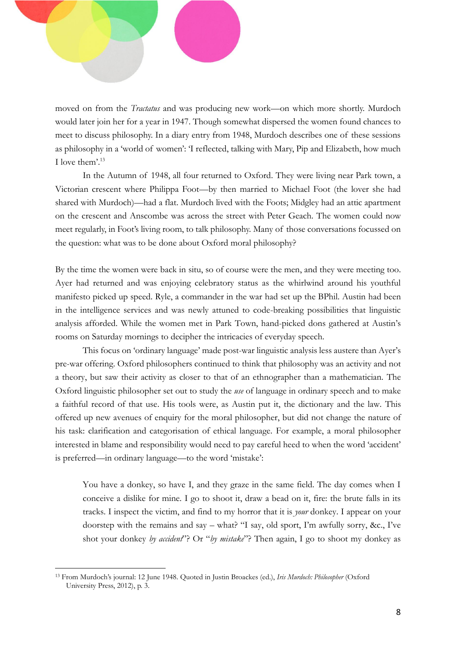

would later join her for a year in 1947. Though somewhat dispersed the women found chances to meet to discuss philosophy. In a diary entry from 1948, Murdoch describes one of these sessions as philosophy in a 'world of women': 'I reflected, talking with Mary, Pip and Elizabeth, how much I love them'.<sup>13</sup>

In the Autumn of 1948, all four returned to Oxford. They were living near Park town, a Victorian crescent where Philippa Foot—by then married to Michael Foot (the lover she had shared with Murdoch)—had a flat. Murdoch lived with the Foots; Midgley had an attic apartment on the crescent and Anscombe was across the street with Peter Geach. The women could now meet regularly, in Foot's living room, to talk philosophy. Many of those conversations focussed on the question: what was to be done about Oxford moral philosophy?

By the time the women were back in situ, so of course were the men, and they were meeting too. Ayer had returned and was enjoying celebratory status as the whirlwind around his youthful manifesto picked up speed. Ryle, a commander in the war had set up the BPhil. Austin had been in the intelligence services and was newly attuned to code-breaking possibilities that linguistic analysis afforded. While the women met in Park Town, hand-picked dons gathered at Austin's rooms on Saturday mornings to decipher the intricacies of everyday speech.

This focus on 'ordinary language' made post-war linguistic analysis less austere than Ayer's pre-war offering. Oxford philosophers continued to think that philosophy was an activity and not a theory, but saw their activity as closer to that of an ethnographer than a mathematician. The Oxford linguistic philosopher set out to study the *use* of language in ordinary speech and to make a faithful record of that use. His tools were, as Austin put it, the dictionary and the law. This offered up new avenues of enquiry for the moral philosopher, but did not change the nature of his task: clarification and categorisation of ethical language. For example, a moral philosopher interested in blame and responsibility would need to pay careful heed to when the word 'accident' is preferred—in ordinary language—to the word 'mistake':

You have a donkey, so have I, and they graze in the same field. The day comes when I conceive a dislike for mine. I go to shoot it, draw a bead on it, fire: the brute falls in its tracks. I inspect the victim, and find to my horror that it is *your* donkey. I appear on your doorstep with the remains and say – what? "I say, old sport, I'm awfully sorry, &c., I've shot your donkey *by accident*"? Or "*by mistake*"? Then again, I go to shoot my donkey as

<sup>13</sup> From Murdoch's journal: 12 June 1948. Quoted in Justin Broackes (ed.), *Iris Murdoch: Philosopher* (Oxford University Press, 2012), p. 3.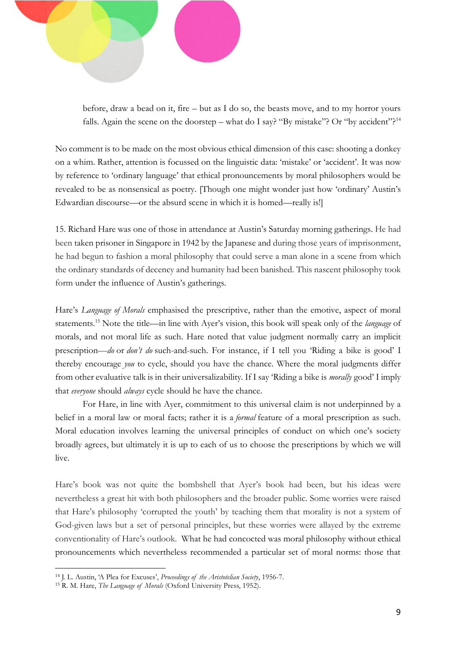

before, draw a bead on it, fire – but as I do so, the beasts move, and to my horror yours falls. Again the scene on the doorstep – what do I say? "By mistake"? Or "by accident"?<sup>14</sup>

No comment is to be made on the most obvious ethical dimension of this case: shooting a donkey on a whim. Rather, attention is focussed on the linguistic data: 'mistake' or 'accident'. It was now by reference to 'ordinary language' that ethical pronouncements by moral philosophers would be revealed to be as nonsensical as poetry. [Though one might wonder just how 'ordinary' Austin's Edwardian discourse—or the absurd scene in which it is homed—really is!]

15. Richard Hare was one of those in attendance at Austin's Saturday morning gatherings. He had been taken prisoner in Singapore in 1942 by the Japanese and during those years of imprisonment, he had begun to fashion a moral philosophy that could serve a man alone in a scene from which the ordinary standards of decency and humanity had been banished*.* This nascent philosophy took form under the influence of Austin's gatherings.

Hare's *Language of Morals* emphasised the prescriptive, rather than the emotive, aspect of moral statements.<sup>15</sup> Note the title—in line with Ayer's vision, this book will speak only of the *language* of morals, and not moral life as such. Hare noted that value judgment normally carry an implicit prescription—*do* or *don't do* such-and-such. For instance, if I tell you 'Riding a bike is good' I thereby encourage *you* to cycle, should you have the chance. Where the moral judgments differ from other evaluative talk is in their universalizability. If I say 'Riding a bike is *morally* good' I imply that *everyone* should *always* cycle should he have the chance.

For Hare, in line with Ayer, commitment to this universal claim is not underpinned by a belief in a moral law or moral facts; rather it is a *formal* feature of a moral prescription as such. Moral education involves learning the universal principles of conduct on which one's society broadly agrees, but ultimately it is up to each of us to choose the prescriptions by which we will live.

Hare's book was not quite the bombshell that Ayer's book had been, but his ideas were nevertheless a great hit with both philosophers and the broader public. Some worries were raised that Hare's philosophy 'corrupted the youth' by teaching them that morality is not a system of God-given laws but a set of personal principles, but these worries were allayed by the extreme conventionality of Hare's outlook. What he had concocted was moral philosophy without ethical pronouncements which nevertheless recommended a particular set of moral norms: those that

<sup>14</sup> J. L. Austin, 'A Plea for Excuses', *Proceedings of the Aristotelian Society*, 1956-7.

<sup>15</sup> R. M. Hare, *The Language of Morals* (Oxford University Press, 1952).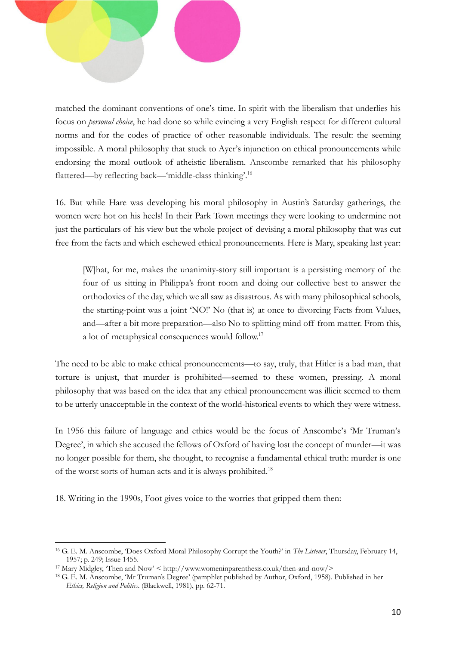

matched the dominant conventions of one's time. In spirit with the liberalism that underlies his focus on *personal choice*, he had done so while evincing a very English respect for different cultural norms and for the codes of practice of other reasonable individuals. The result: the seeming impossible. A moral philosophy that stuck to Ayer's injunction on ethical pronouncements while endorsing the moral outlook of atheistic liberalism. Anscombe remarked that his philosophy flattered—by reflecting back—'middle-class thinking'.<sup>16</sup>

16. But while Hare was developing his moral philosophy in Austin's Saturday gatherings, the women were hot on his heels! In their Park Town meetings they were looking to undermine not just the particulars of his view but the whole project of devising a moral philosophy that was cut free from the facts and which eschewed ethical pronouncements. Here is Mary, speaking last year:

[W]hat, for me, makes the unanimity-story still important is a persisting memory of the four of us sitting in Philippa's front room and doing our collective best to answer the orthodoxies of the day, which we all saw as disastrous. As with many philosophical schools, the starting-point was a joint 'NO!' No (that is) at once to divorcing Facts from Values, and—after a bit more preparation—also No to splitting mind off from matter. From this, a lot of metaphysical consequences would follow.<sup>17</sup>

The need to be able to make ethical pronouncements—to say, truly, that Hitler is a bad man, that torture is unjust, that murder is prohibited—seemed to these women, pressing. A moral philosophy that was based on the idea that any ethical pronouncement was illicit seemed to them to be utterly unacceptable in the context of the world-historical events to which they were witness.

In 1956 this failure of language and ethics would be the focus of Anscombe's 'Mr Truman's Degree', in which she accused the fellows of Oxford of having lost the concept of murder—it was no longer possible for them, she thought, to recognise a fundamental ethical truth: murder is one of the worst sorts of human acts and it is always prohibited.<sup>18</sup>

18. Writing in the 1990s, Foot gives voice to the worries that gripped them then:

<sup>16</sup> G. E. M. Anscombe, 'Does Oxford Moral Philosophy Corrupt the Youth?' in *The Listener*, Thursday, February 14, 1957; p. 249; Issue 1455.

<sup>17</sup> Mary Midgley, 'Then and Now' < http://www.womeninparenthesis.co.uk/then-and-now/>

<sup>18</sup> G. E. M. Anscombe, 'Mr Truman's Degree' (pamphlet published by Author, Oxford, 1958). Published in her *Ethics, Religion and Politics*. (Blackwell, 1981), pp. 62-71.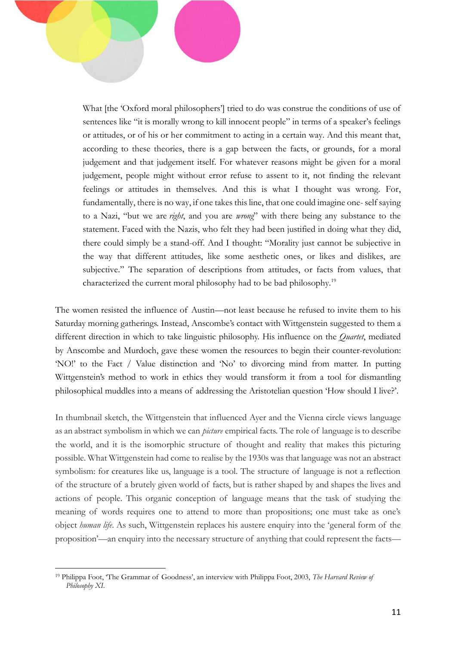What [the 'Oxford moral philosophers'] tried to do was construe the conditions of use of sentences like "it is morally wrong to kill innocent people" in terms of a speaker's feelings or attitudes, or of his or her commitment to acting in a certain way. And this meant that, according to these theories, there is a gap between the facts, or grounds, for a moral judgement and that judgement itself. For whatever reasons might be given for a moral judgement, people might without error refuse to assent to it, not finding the relevant feelings or attitudes in themselves. And this is what I thought was wrong. For, fundamentally, there is no way, if one takes this line, that one could imagine one- self saying to a Nazi, "but we are *right*, and you are *wrong*" with there being any substance to the statement. Faced with the Nazis, who felt they had been justified in doing what they did, there could simply be a stand-off. And I thought: "Morality just cannot be subjective in the way that different attitudes, like some aesthetic ones, or likes and dislikes, are subjective." The separation of descriptions from attitudes, or facts from values, that characterized the current moral philosophy had to be bad philosophy.<sup>19</sup>

The women resisted the influence of Austin—not least because he refused to invite them to his Saturday morning gatherings. Instead, Anscombe's contact with Wittgenstein suggested to them a different direction in which to take linguistic philosophy. His influence on the *Quartet*, mediated by Anscombe and Murdoch, gave these women the resources to begin their counter-revolution: 'NO!' to the Fact / Value distinction and 'No' to divorcing mind from matter. In putting Wittgenstein's method to work in ethics they would transform it from a tool for dismantling philosophical muddles into a means of addressing the Aristotelian question 'How should I live?'.

In thumbnail sketch, the Wittgenstein that influenced Ayer and the Vienna circle views language as an abstract symbolism in which we can *picture* empirical facts. The role of language is to describe the world, and it is the isomorphic structure of thought and reality that makes this picturing possible. What Wittgenstein had come to realise by the 1930s was that language was not an abstract symbolism: for creatures like us, language is a tool. The structure of language is not a reflection of the structure of a brutely given world of facts, but is rather shaped by and shapes the lives and actions of people. This organic conception of language means that the task of studying the meaning of words requires one to attend to more than propositions; one must take as one's object *human life*. As such, Wittgenstein replaces his austere enquiry into the 'general form of the proposition'—an enquiry into the necessary structure of anything that could represent the facts—

<sup>19</sup> Philippa Foot, 'The Grammar of Goodness', an interview with Philippa Foot, 2003, *The Harvard Review of Philosophy XI*.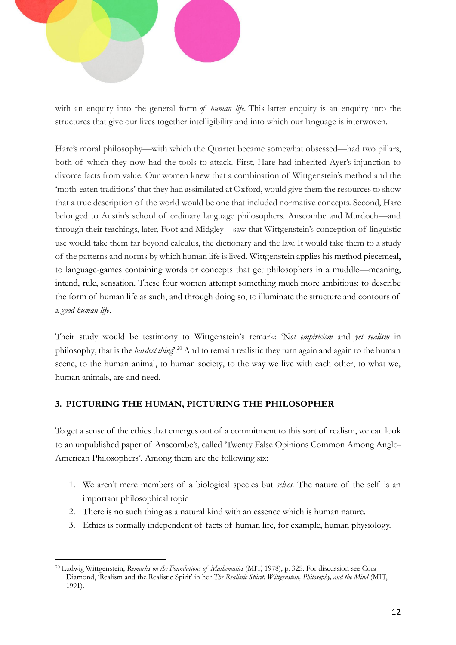

with an enquiry into the general form *of human life.* This latter enquiry is an enquiry into the structures that give our lives together intelligibility and into which our language is interwoven.

Hare's moral philosophy—with which the Quartet became somewhat obsessed—had two pillars, both of which they now had the tools to attack. First, Hare had inherited Ayer's injunction to divorce facts from value. Our women knew that a combination of Wittgenstein's method and the 'moth-eaten traditions' that they had assimilated at Oxford, would give them the resources to show that a true description of the world would be one that included normative concepts. Second, Hare belonged to Austin's school of ordinary language philosophers. Anscombe and Murdoch—and through their teachings, later, Foot and Midgley—saw that Wittgenstein's conception of linguistic use would take them far beyond calculus, the dictionary and the law. It would take them to a study of the patterns and norms by which human life is lived. Wittgenstein applies his method piecemeal, to language-games containing words or concepts that get philosophers in a muddle—meaning, intend, rule, sensation. These four women attempt something much more ambitious: to describe the form of human life as such, and through doing so, to illuminate the structure and contours of a *good human life*.

Their study would be testimony to Wittgenstein's remark: 'N*ot empiricism* and *yet realism* in philosophy, that is the *hardest thing*'. <sup>20</sup> And to remain realistic they turn again and again to the human scene, to the human animal, to human society, to the way we live with each other, to what we, human animals, are and need.

## **3. PICTURING THE HUMAN, PICTURING THE PHILOSOPHER**

To get a sense of the ethics that emerges out of a commitment to this sort of realism, we can look to an unpublished paper of Anscombe's, called 'Twenty False Opinions Common Among Anglo-American Philosophers'. Among them are the following six:

- 1. We aren't mere members of a biological species but *selves.* The nature of the self is an important philosophical topic
- 2. There is no such thing as a natural kind with an essence which is human nature.
- 3. Ethics is formally independent of facts of human life, for example, human physiology.

 $\overline{a}$ <sup>20</sup> Ludwig Wittgenstein, *Remarks on the Foundations of Mathematics* (MIT, 1978), p. 325. For discussion see Cora Diamond, 'Realism and the Realistic Spirit' in her *The Realistic Spirit: Wittgenstein, Philosophy, and the Mind* (MIT, 1991).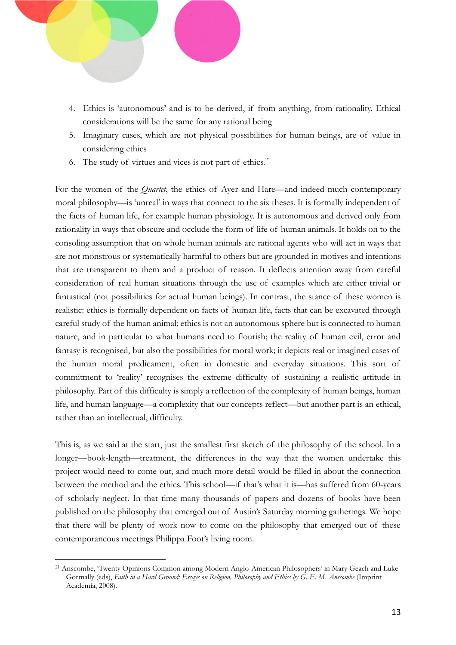

- 4. Ethics is 'autonomous' and is to be derived, if from anything, from rationality. Ethical considerations will be the same for any rational being
- 5. Imaginary cases, which are not physical possibilities for human beings, are of value in considering ethics
- 6. The study of virtues and vices is not part of ethics.<sup>21</sup>

For the women of the *Quartet*, the ethics of Ayer and Hare—and indeed much contemporary moral philosophy—is 'unreal' in ways that connect to the six theses. It is formally independent of the facts of human life, for example human physiology. It is autonomous and derived only from rationality in ways that obscure and occlude the form of life of human animals. It holds on to the consoling assumption that on whole human animals are rational agents who will act in ways that are not monstrous or systematically harmful to others but are grounded in motives and intentions that are transparent to them and a product of reason. It deflects attention away from careful consideration of real human situations through the use of examples which are either trivial or fantastical (not possibilities for actual human beings). In contrast, the stance of these women is realistic: ethics is formally dependent on facts of human life, facts that can be excavated through careful study of the human animal; ethics is not an autonomous sphere but is connected to human nature, and in particular to what humans need to flourish; the reality of human evil, error and fantasy is recognised, but also the possibilities for moral work; it depicts real or imagined cases of the human moral predicament, often in domestic and everyday situations. This sort of commitment to 'reality' recognises the extreme difficulty of sustaining a realistic attitude in philosophy. Part of this difficulty is simply a reflection of the complexity of human beings, human life, and human language—a complexity that our concepts reflect—but another part is an ethical, rather than an intellectual, difficulty.

This is, as we said at the start, just the smallest first sketch of the philosophy of the school. In a longer—book-length—treatment, the differences in the way that the women undertake this project would need to come out, and much more detail would be filled in about the connection between the method and the ethics. This school—if that's what it is—has suffered from 60-years of scholarly neglect. In that time many thousands of papers and dozens of books have been published on the philosophy that emerged out of Austin's Saturday morning gatherings. We hope that there will be plenty of work now to come on the philosophy that emerged out of these contemporaneous meetings Philippa Foot's living room.

<sup>21</sup> Anscombe, 'Twenty Opinions Common among Modern Anglo-American Philosophers' in Mary Geach and Luke Gormally (eds), *Faith in a Hard Ground: Essays on Religion, Philosophy and Ethics by G. E. M. Anscombe* (Imprint Academia, 2008).